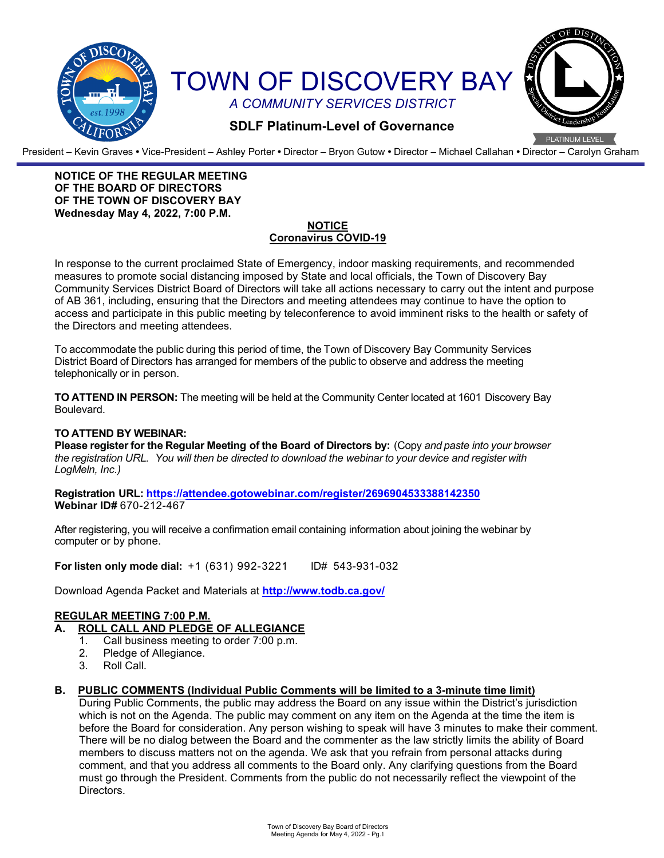

President – Kevin Graves **•** Vice-President – Ashley Porter **•** Director – Bryon Gutow **•** Director – Michael Callahan **•** Director – Carolyn Graham

## **NOTICE OF THE REGULAR MEETING OF THE BOARD OF DIRECTORS OF THE TOWN OF DISCOVERY BAY Wednesday May 4, 2022, 7:00 P.M.**

#### **NOTICE Coronavirus COVID-19**

In response to the current proclaimed State of Emergency, indoor masking requirements, and recommended measures to promote social distancing imposed by State and local officials, the Town of Discovery Bay Community Services District Board of Directors will take all actions necessary to carry out the intent and purpose of AB 361, including, ensuring that the Directors and meeting attendees may continue to have the option to access and participate in this public meeting by teleconference to avoid imminent risks to the health or safety of the Directors and meeting attendees.

To accommodate the public during this period of time, the Town of Discovery Bay Community Services District Board of Directors has arranged for members of the public to observe and address the meeting telephonically or in person.

**TO ATTEND IN PERSON:** The meeting will be held at the Community Center located at 1601 Discovery Bay Boulevard.

#### **TO ATTEND BY WEBINAR:**

**Please register for the Regular Meeting of the Board of Directors by:** (Copy *and paste into your browser the registration URL. You will then be directed to download the webinar to your device and register with LogMeln, Inc.)*

**Registration URL: <https://attendee.gotowebinar.com/register/2696904533388142350> Webinar ID#** 670-212-467

After registering, you will receive a confirmation email containing information about joining the webinar by computer or by phone.

**For listen only mode dial:** +1 (631) 992-3221 ID# 543-931-032

Download Agenda Packet and Materials at **http:/[/www.todb.ca.gov/](http://www.todb.ca.gov/)** 

## **REGULAR MEETING 7:00 P.M.**

- **A. ROLL CALL AND PLEDGE OF ALLEGIANCE**
	- 1. Call business meeting to order 7:00 p.m.
	- 2. Pledge of Allegiance.
	- 3. Roll Call.

## **B. PUBLIC COMMENTS (Individual Public Comments will be limited to a 3-minute time limit)**

During Public Comments, the public may address the Board on any issue within the District's jurisdiction which is not on the Agenda. The public may comment on any item on the Agenda at the time the item is before the Board for consideration. Any person wishing to speak will have 3 minutes to make their comment. There will be no dialog between the Board and the commenter as the law strictly limits the ability of Board members to discuss matters not on the agenda. We ask that you refrain from personal attacks during comment, and that you address all comments to the Board only. Any clarifying questions from the Board must go through the President. Comments from the public do not necessarily reflect the viewpoint of the Directors.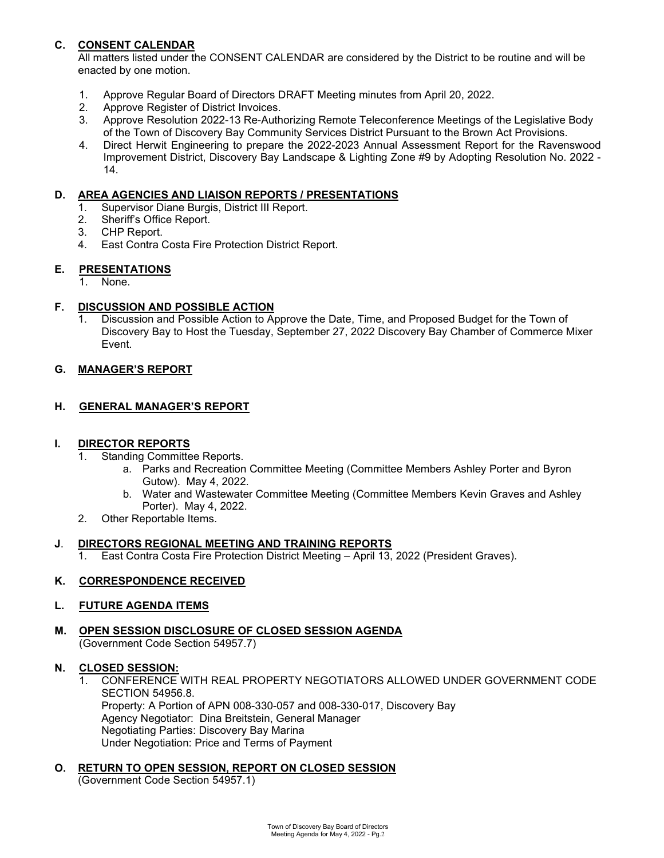# **C. CONSENT CALENDAR**

All matters listed under the CONSENT CALENDAR are considered by the District to be routine and will be enacted by one motion.

- 1. Approve Regular Board of Directors DRAFT Meeting minutes from April 20, 2022.
- 2. Approve Register of District Invoices.
- 3. Approve Resolution 2022-13 Re-Authorizing Remote Teleconference Meetings of the Legislative Body of the Town of Discovery Bay Community Services District Pursuant to the Brown Act Provisions.
- 4. Direct Herwit Engineering to prepare the 2022-2023 Annual Assessment Report for the Ravenswood Improvement District, Discovery Bay Landscape & Lighting Zone #9 by Adopting Resolution No. 2022 - 14.

## **D. AREA AGENCIES AND LIAISON REPORTS / PRESENTATIONS**

- 1. Supervisor Diane Burgis, District III Report.<br>2. Sheriff's Office Report.
- Sheriff's Office Report.
- 3. CHP Report.
- 4. East Contra Costa Fire Protection District Report.

## **E. PRESENTATIONS**

1. None.

## **F. DISCUSSION AND POSSIBLE ACTION**

1. Discussion and Possible Action to Approve the Date, Time, and Proposed Budget for the Town of Discovery Bay to Host the Tuesday, September 27, 2022 Discovery Bay Chamber of Commerce Mixer Event.

## **G. MANAGER'S REPORT**

## **H. GENERAL MANAGER'S REPORT**

# **I.** DIRECTOR REPORTS<br>1. Standing Committer

- Standing Committee Reports.
	- a. Parks and Recreation Committee Meeting (Committee Members Ashley Porter and Byron Gutow). May 4, 2022.
	- b. Water and Wastewater Committee Meeting (Committee Members Kevin Graves and Ashley Porter). May 4, 2022.
- 2. Other Reportable Items.

#### **J**. **DIRECTORS REGIONAL MEETING AND TRAINING REPORTS**

1. East Contra Costa Fire Protection District Meeting – April 13, 2022 (President Graves).

## **K. CORRESPONDENCE RECEIVED**

#### **L. FUTURE AGENDA ITEMS**

**M. OPEN SESSION DISCLOSURE OF CLOSED SESSION AGENDA** (Government Code Section 54957.7)

## **N. CLOSED SESSION:**

1. CONFERENCE WITH REAL PROPERTY NEGOTIATORS ALLOWED UNDER GOVERNMENT CODE SECTION 54956.8. Property: A Portion of APN 008-330-057 and 008-330-017, Discovery Bay Agency Negotiator: Dina Breitstein, General Manager Negotiating Parties: Discovery Bay Marina

# **O. RETURN TO OPEN SESSION, REPORT ON CLOSED SESSION**

Under Negotiation: Price and Terms of Payment

(Government Code Section 54957.1)